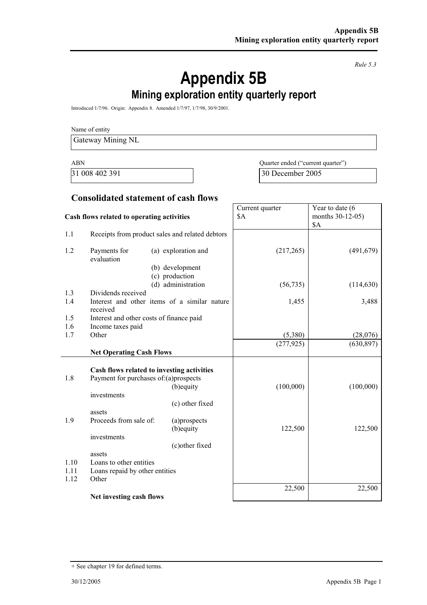*Rule 5.3* 

# **Appendix 5B**

# **Mining exploration entity quarterly report**

Introduced 1/7/96. Origin: Appendix 8. Amended 1/7/97, 1/7/98, 30/9/2001.

Name of entity

Gateway Mining NL

ABN Quarter ended ("current quarter") 31 008 402 391 30 December 2005

Year to date (6

Current quarter

#### **Consolidated statement of cash flows**

| Cash flows related to operating activities |                                                 |                                              | \$A        | months 30-12-05)<br>\$Α |
|--------------------------------------------|-------------------------------------------------|----------------------------------------------|------------|-------------------------|
| 1.1                                        | Receipts from product sales and related debtors |                                              |            |                         |
| 1.2                                        | Payments for<br>evaluation                      | (a) exploration and<br>(b) development       | (217, 265) | (491, 679)              |
|                                            |                                                 | (c) production                               |            |                         |
|                                            | Dividends received                              | (d) administration                           | (56, 735)  | (114, 630)              |
| 1.3<br>1.4                                 |                                                 | Interest and other items of a similar nature |            |                         |
|                                            | received                                        |                                              | 1,455      | 3,488                   |
| 1.5                                        | Interest and other costs of finance paid        |                                              |            |                         |
| 1.6                                        | Income taxes paid                               |                                              |            |                         |
| 1.7                                        | Other                                           |                                              | (5,380)    | (28,076)                |
|                                            |                                                 |                                              | (277, 925) | (630, 897)              |
|                                            | <b>Net Operating Cash Flows</b>                 |                                              |            |                         |
|                                            |                                                 | Cash flows related to investing activities   |            |                         |
| 1.8                                        | Payment for purchases of:(a)prospects           |                                              |            |                         |
|                                            |                                                 | (b) equity                                   | (100,000)  | (100,000)               |
|                                            | investments                                     |                                              |            |                         |
|                                            |                                                 | (c) other fixed                              |            |                         |
|                                            | assets                                          |                                              |            |                         |
| 1.9                                        | Proceeds from sale of:                          | (a)prospects                                 |            |                         |
|                                            |                                                 | (b) equity                                   | 122,500    | 122,500                 |
|                                            | investments                                     |                                              |            |                         |
|                                            |                                                 | (c) other fixed                              |            |                         |
| 1.10                                       | assets<br>Loans to other entities               |                                              |            |                         |
|                                            | 1.11<br>Loans repaid by other entities<br>Other |                                              |            |                         |
| 1.12                                       |                                                 |                                              |            |                         |
|                                            |                                                 |                                              | 22,500     | 22,500                  |
|                                            | Net investing cash flows                        |                                              |            |                         |

<sup>+</sup> See chapter 19 for defined terms.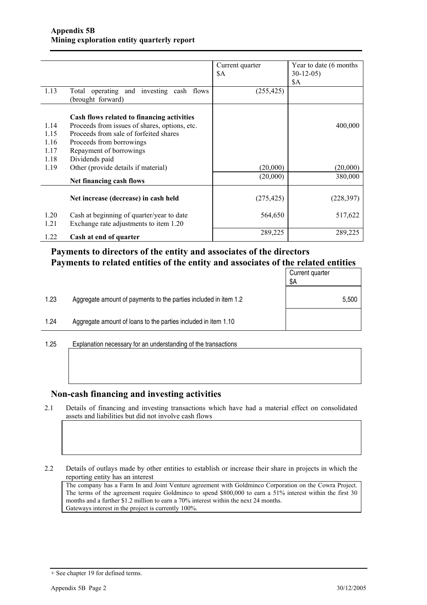|      |                                                               | Current quarter | Year to date (6 months) |
|------|---------------------------------------------------------------|-----------------|-------------------------|
|      |                                                               | \$A             | $30-12-05$              |
|      |                                                               |                 | \$A                     |
| 1.13 | Total operating and investing cash flows<br>(brought forward) | (255, 425)      |                         |
|      | Cash flows related to financing activities                    |                 |                         |
| 1.14 | Proceeds from issues of shares, options, etc.                 |                 | 400,000                 |
| 1.15 | Proceeds from sale of forfeited shares                        |                 |                         |
| 1.16 | Proceeds from borrowings                                      |                 |                         |
| 1.17 | Repayment of borrowings                                       |                 |                         |
| 1.18 | Dividends paid                                                |                 |                         |
| 1.19 | Other (provide details if material)                           | (20,000)        | (20,000)                |
|      | Net financing cash flows                                      | (20,000)        | 380,000                 |
|      | Net increase (decrease) in cash held                          | (275, 425)      | (228, 397)              |
| 1.20 | Cash at beginning of quarter/year to date                     | 564,650         | 517,622                 |
| 1.21 | Exchange rate adjustments to item 1.20                        |                 |                         |
| 1.22 | Cash at end of quarter                                        | 289,225         | 289,225                 |

#### **Payments to directors of the entity and associates of the directors Payments to related entities of the entity and associates of the related entities**

|      |                                                                  | Current quarter<br>\$Α |
|------|------------------------------------------------------------------|------------------------|
| 1.23 | Aggregate amount of payments to the parties included in item 1.2 | 5,500                  |
| 1.24 | Aggregate amount of loans to the parties included in item 1.10   |                        |

1.25 Explanation necessary for an understanding of the transactions

#### **Non-cash financing and investing activities**

2.1 Details of financing and investing transactions which have had a material effect on consolidated assets and liabilities but did not involve cash flows

2.2 Details of outlays made by other entities to establish or increase their share in projects in which the reporting entity has an interest

The company has a Farm In and Joint Venture agreement with Goldminco Corporation on the Cowra Project. The terms of the agreement require Goldminco to spend \$800,000 to earn a 51% interest within the first 30 months and a further \$1.2 million to earn a 70% interest within the next 24 months. Gateways interest in the project is currently 100%.

<sup>+</sup> See chapter 19 for defined terms.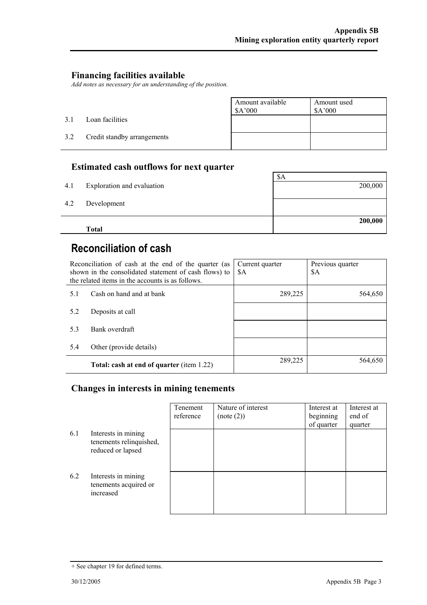#### **Financing facilities available**

*Add notes as necessary for an understanding of the position.* 

|     |                             | Amount available<br>\$A'000 | Amount used<br>\$A'000 |
|-----|-----------------------------|-----------------------------|------------------------|
| 3.1 | Loan facilities             |                             |                        |
| 3.2 | Credit standby arrangements |                             |                        |

#### **Estimated cash outflows for next quarter**

|     | <b>Total</b>               | 200,000 |
|-----|----------------------------|---------|
| 4.2 | Development                |         |
| 4.1 | Exploration and evaluation | 200,000 |
|     |                            | \$A     |

## **Reconciliation of cash**

|     | Reconciliation of cash at the end of the quarter (as<br>shown in the consolidated statement of cash flows) to<br>the related items in the accounts is as follows. | Current quarter<br>\$A | Previous quarter<br>\$A |
|-----|-------------------------------------------------------------------------------------------------------------------------------------------------------------------|------------------------|-------------------------|
| 5.1 | Cash on hand and at bank                                                                                                                                          | 289,225                | 564,650                 |
| 5.2 | Deposits at call                                                                                                                                                  |                        |                         |
| 5.3 | Bank overdraft                                                                                                                                                    |                        |                         |
| 5.4 | Other (provide details)                                                                                                                                           |                        |                         |
|     | Total: cash at end of quarter (item 1.22)                                                                                                                         | 289,225                | 564,650                 |

#### **Changes in interests in mining tenements**

|     |                                                                     | Tenement<br>reference | Nature of interest<br>(note (2)) | Interest at<br>beginning<br>of quarter | Interest at<br>end of<br>quarter |
|-----|---------------------------------------------------------------------|-----------------------|----------------------------------|----------------------------------------|----------------------------------|
| 6.1 | Interests in mining<br>tenements relinquished,<br>reduced or lapsed |                       |                                  |                                        |                                  |
| 6.2 | Interests in mining<br>tenements acquired or<br>increased           |                       |                                  |                                        |                                  |

<sup>+</sup> See chapter 19 for defined terms.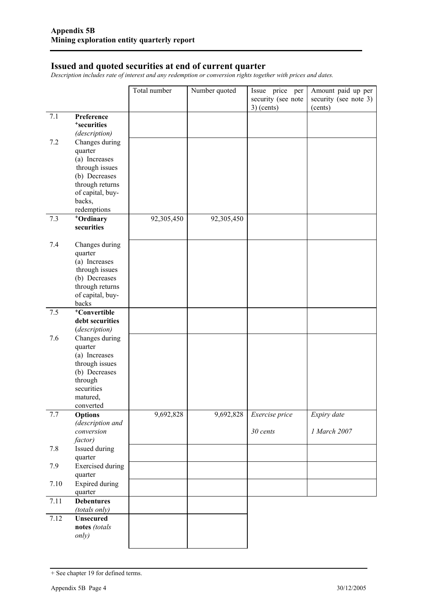#### **Issued and quoted securities at end of current quarter**

*Description includes rate of interest and any redemption or conversion rights together with prices and dates.* 

|      |                                       | Total number | Number quoted | Issue price per    | Amount paid up per    |
|------|---------------------------------------|--------------|---------------|--------------------|-----------------------|
|      |                                       |              |               | security (see note | security (see note 3) |
|      |                                       |              |               | $3)$ (cents)       | (cents)               |
| 7.1  | Preference<br><sup>+</sup> securities |              |               |                    |                       |
|      | (description)                         |              |               |                    |                       |
| 7.2  | Changes during                        |              |               |                    |                       |
|      | quarter                               |              |               |                    |                       |
|      | (a) Increases                         |              |               |                    |                       |
|      | through issues                        |              |               |                    |                       |
|      | (b) Decreases                         |              |               |                    |                       |
|      | through returns                       |              |               |                    |                       |
|      | of capital, buy-                      |              |               |                    |                       |
|      | backs,                                |              |               |                    |                       |
| 7.3  | redemptions<br>+Ordinary              | 92,305,450   | 92,305,450    |                    |                       |
|      | securities                            |              |               |                    |                       |
|      |                                       |              |               |                    |                       |
| 7.4  | Changes during                        |              |               |                    |                       |
|      | quarter                               |              |               |                    |                       |
|      | (a) Increases                         |              |               |                    |                       |
|      | through issues                        |              |               |                    |                       |
|      | (b) Decreases                         |              |               |                    |                       |
|      | through returns<br>of capital, buy-   |              |               |                    |                       |
|      | backs                                 |              |               |                    |                       |
| 7.5  | <sup>+</sup> Convertible              |              |               |                    |                       |
|      | debt securities                       |              |               |                    |                       |
|      | (description)                         |              |               |                    |                       |
| 7.6  | Changes during                        |              |               |                    |                       |
|      | quarter                               |              |               |                    |                       |
|      | (a) Increases                         |              |               |                    |                       |
|      | through issues<br>(b) Decreases       |              |               |                    |                       |
|      | through                               |              |               |                    |                       |
|      | securities                            |              |               |                    |                       |
|      | matured,                              |              |               |                    |                       |
|      | converted                             |              |               |                    |                       |
| 7.7  | <b>Options</b>                        | 9,692,828    | 9,692,828     | Exercise price     | Expiry date           |
|      | (description and                      |              |               |                    |                       |
|      | conversion<br>factor)                 |              |               | 30 cents           | 1 March 2007          |
| 7.8  | Issued during                         |              |               |                    |                       |
|      | quarter                               |              |               |                    |                       |
| 7.9  | <b>Exercised</b> during               |              |               |                    |                       |
|      | quarter                               |              |               |                    |                       |
| 7.10 | <b>Expired during</b>                 |              |               |                    |                       |
|      | quarter                               |              |               |                    |                       |
| 7.11 | <b>Debentures</b>                     |              |               |                    |                       |
|      | (totals only)                         |              |               |                    |                       |
| 7.12 | <b>Unsecured</b>                      |              |               |                    |                       |
|      | notes (totals<br>only)                |              |               |                    |                       |
|      |                                       |              |               |                    |                       |

<sup>+</sup> See chapter 19 for defined terms.